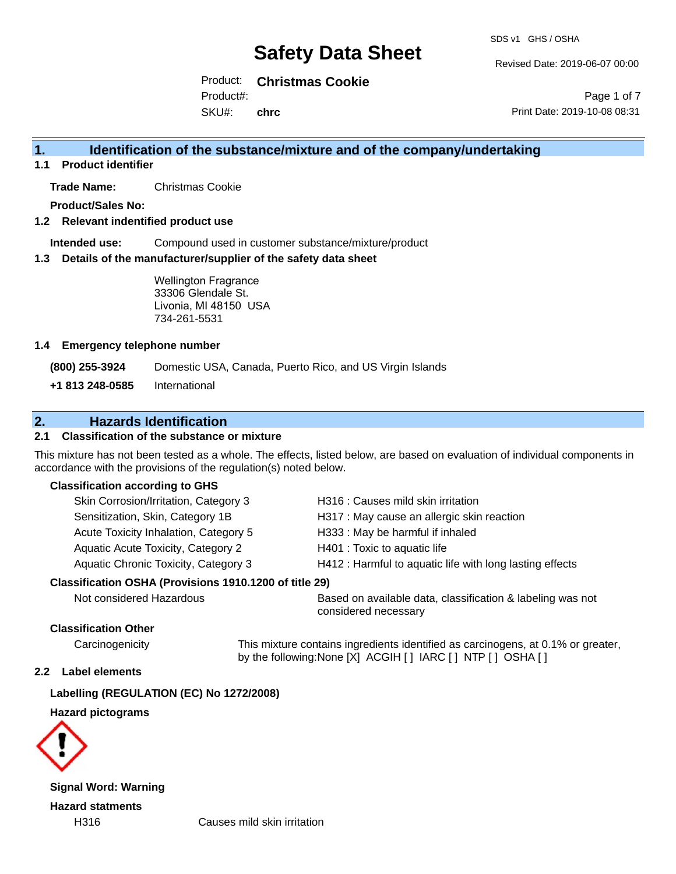Revised Date: 2019-06-07 00:00

Product: **Christmas Cookie** SKU#: Product#: **chrc**

Page 1 of 7 Print Date: 2019-10-08 08:31

# **1. Identification of the substance/mixture and of the company/undertaking**

**1.1 Product identifier**

**Trade Name:** Christmas Cookie

**Product/Sales No:**

#### **1.2 Relevant indentified product use**

**Intended use:** Compound used in customer substance/mixture/product

#### **1.3 Details of the manufacturer/supplier of the safety data sheet**

Wellington Fragrance 33306 Glendale St. Livonia, MI 48150 USA 734-261-5531

#### **1.4 Emergency telephone number**

**(800) 255-3924** Domestic USA, Canada, Puerto Rico, and US Virgin Islands

**+1 813 248-0585** International

### **2. Hazards Identification**

#### **2.1 Classification of the substance or mixture**

This mixture has not been tested as a whole. The effects, listed below, are based on evaluation of individual components in accordance with the provisions of the regulation(s) noted below.

#### **Classification according to GHS**

| Skin Corrosion/Irritation, Category 3                  | H316 : Causes mild skin irritation                       |
|--------------------------------------------------------|----------------------------------------------------------|
| Sensitization, Skin, Category 1B                       | H317 : May cause an allergic skin reaction               |
| Acute Toxicity Inhalation, Category 5                  | H333: May be harmful if inhaled                          |
| Aquatic Acute Toxicity, Category 2                     | H401 : Toxic to aquatic life                             |
| Aquatic Chronic Toxicity, Category 3                   | H412 : Harmful to aquatic life with long lasting effects |
| Classification OSHA (Provisions 1910.1200 of title 29) |                                                          |

Not considered Hazardous Based on available data, classification & labeling was not considered necessary

#### **Classification Other**

Carcinogenicity This mixture contains ingredients identified as carcinogens, at 0.1% or greater, by the following:None [X] ACGIH [ ] IARC [ ] NTP [ ] OSHA [ ]

#### **2.2 Label elements**

#### **Labelling (REGULATION (EC) No 1272/2008)**

#### **Hazard pictograms**



**Signal Word: Warning Hazard statments**

H316 Causes mild skin irritation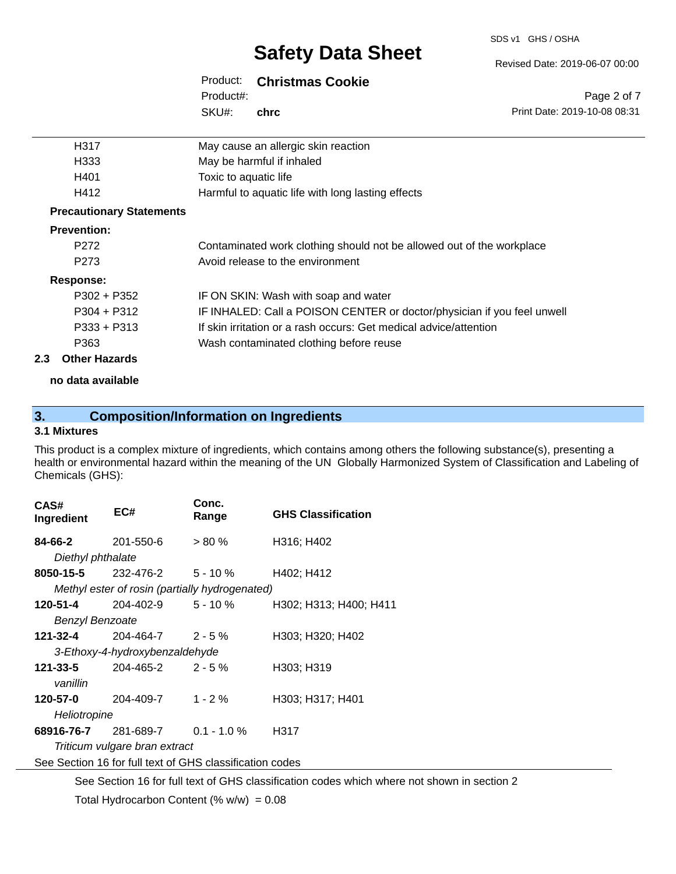#### SDS v1 GHS / OSHA

# **Safety Data Sheet**

### Product: **Christmas Cookie**

SKU#: Product#: **chrc**

| H317                            | May cause an allergic skin reaction                                     |
|---------------------------------|-------------------------------------------------------------------------|
| H <sub>333</sub>                | May be harmful if inhaled                                               |
| H401                            | Toxic to aquatic life                                                   |
| H412                            | Harmful to aquatic life with long lasting effects                       |
| <b>Precautionary Statements</b> |                                                                         |
| <b>Prevention:</b>              |                                                                         |
| P <sub>272</sub>                | Contaminated work clothing should not be allowed out of the workplace   |
| P <sub>273</sub>                | Avoid release to the environment                                        |
| Response:                       |                                                                         |
| $P302 + P352$                   | IF ON SKIN: Wash with soap and water                                    |
| $P304 + P312$                   | IF INHALED: Call a POISON CENTER or doctor/physician if you feel unwell |
| $P333 + P313$                   | If skin irritation or a rash occurs: Get medical advice/attention       |
| P363                            | Wash contaminated clothing before reuse                                 |

#### **2.3 Other Hazards**

**no data available**

# **3. Composition/Information on Ingredients**

### **3.1 Mixtures**

This product is a complex mixture of ingredients, which contains among others the following substance(s), presenting a health or environmental hazard within the meaning of the UN Globally Harmonized System of Classification and Labeling of Chemicals (GHS):

| CAS#<br>Ingredient                                       | EC#                                            | Conc.<br>Range | <b>GHS Classification</b> |  |
|----------------------------------------------------------|------------------------------------------------|----------------|---------------------------|--|
| 84-66-2                                                  | 201-550-6                                      | $> 80 \%$      | H316; H402                |  |
| Diethyl phthalate                                        |                                                |                |                           |  |
| 8050-15-5                                                | 232-476-2                                      | $5 - 10 \%$    | H402; H412                |  |
|                                                          | Methyl ester of rosin (partially hydrogenated) |                |                           |  |
| 120-51-4                                                 | 204-402-9                                      | $5 - 10 \%$    | H302; H313; H400; H411    |  |
| <b>Benzyl Benzoate</b>                                   |                                                |                |                           |  |
| 121-32-4                                                 | $204 - 464 - 7$ 2 - 5 %                        |                | H303; H320; H402          |  |
|                                                          | 3-Ethoxy-4-hydroxybenzaldehyde                 |                |                           |  |
| 121-33-5                                                 | $204 - 465 - 2$ 2 - 5 %                        |                | H303; H319                |  |
| vanillin                                                 |                                                |                |                           |  |
| 120-57-0                                                 | 204-409-7                                      | $1 - 2 \%$     | H303; H317; H401          |  |
| Heliotropine                                             |                                                |                |                           |  |
| 68916-76-7                                               | 281-689-7 0.1 - 1.0 %                          |                | H317                      |  |
| Triticum vulgare bran extract                            |                                                |                |                           |  |
| See Section 16 for full text of GHS classification codes |                                                |                |                           |  |

See Section 16 for full text of GHS classification codes which where not shown in section 2

Total Hydrocarbon Content (%  $w/w$ ) = 0.08

Revised Date: 2019-06-07 00:00

Print Date: 2019-10-08 08:31

Page 2 of 7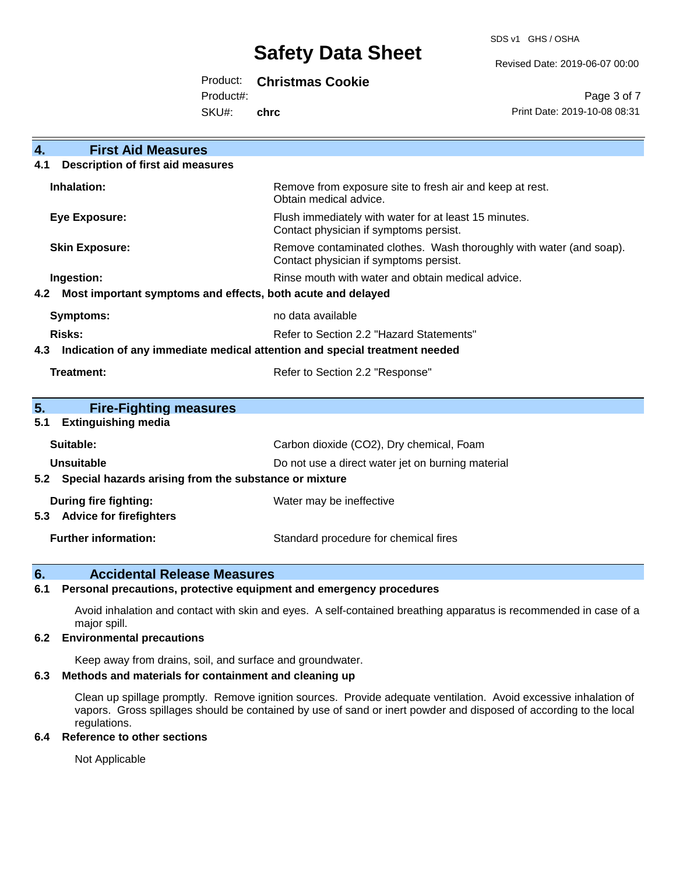SDS v1 GHS / OSHA

Revised Date: 2019-06-07 00:00

# Product: **Christmas Cookie**

Product#:

SKU#: **chrc**

Page 3 of 7 Print Date: 2019-10-08 08:31

| <b>First Aid Measures</b><br>4.                                                   |                                                                                                               |  |  |  |
|-----------------------------------------------------------------------------------|---------------------------------------------------------------------------------------------------------------|--|--|--|
| <b>Description of first aid measures</b><br>4.1                                   |                                                                                                               |  |  |  |
| Inhalation:                                                                       | Remove from exposure site to fresh air and keep at rest.<br>Obtain medical advice.                            |  |  |  |
| <b>Eye Exposure:</b>                                                              | Flush immediately with water for at least 15 minutes.<br>Contact physician if symptoms persist.               |  |  |  |
| <b>Skin Exposure:</b>                                                             | Remove contaminated clothes. Wash thoroughly with water (and soap).<br>Contact physician if symptoms persist. |  |  |  |
| Ingestion:                                                                        | Rinse mouth with water and obtain medical advice.                                                             |  |  |  |
| Most important symptoms and effects, both acute and delayed<br>4.2                |                                                                                                               |  |  |  |
| <b>Symptoms:</b>                                                                  | no data available                                                                                             |  |  |  |
| <b>Risks:</b>                                                                     | Refer to Section 2.2 "Hazard Statements"                                                                      |  |  |  |
| Indication of any immediate medical attention and special treatment needed<br>4.3 |                                                                                                               |  |  |  |
| <b>Treatment:</b>                                                                 | Refer to Section 2.2 "Response"                                                                               |  |  |  |
| 5.<br><b>Fire-Fighting measures</b>                                               |                                                                                                               |  |  |  |
| <b>Extinguishing media</b><br>5.1                                                 |                                                                                                               |  |  |  |
| Suitable:                                                                         | Carbon dioxide (CO2), Dry chemical, Foam                                                                      |  |  |  |
| <b>Unsuitable</b>                                                                 | Do not use a direct water jet on burning material                                                             |  |  |  |
| 5.2 Special hazards arising from the substance or mixture                         |                                                                                                               |  |  |  |
| <b>During fire fighting:</b>                                                      | Water may be ineffective                                                                                      |  |  |  |
| <b>Advice for firefighters</b><br>5.3                                             |                                                                                                               |  |  |  |
| <b>Further information:</b>                                                       | Standard procedure for chemical fires                                                                         |  |  |  |

### **6. Accidental Release Measures**

#### **6.1 Personal precautions, protective equipment and emergency procedures**

Avoid inhalation and contact with skin and eyes. A self-contained breathing apparatus is recommended in case of a major spill.

#### **6.2 Environmental precautions**

Keep away from drains, soil, and surface and groundwater.

#### **6.3 Methods and materials for containment and cleaning up**

Clean up spillage promptly. Remove ignition sources. Provide adequate ventilation. Avoid excessive inhalation of vapors. Gross spillages should be contained by use of sand or inert powder and disposed of according to the local regulations.

#### **6.4 Reference to other sections**

Not Applicable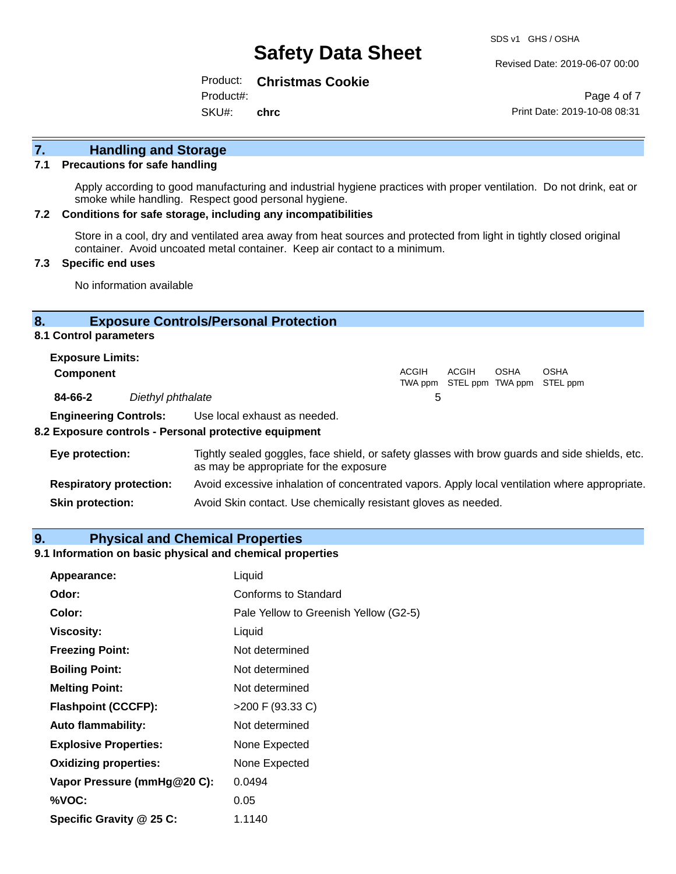Revised Date: 2019-06-07 00:00

Product: **Christmas Cookie**

Product#:

SKU#: **chrc**

Page 4 of 7 Print Date: 2019-10-08 08:31

# **7. Handling and Storage**

#### **7.1 Precautions for safe handling**

Apply according to good manufacturing and industrial hygiene practices with proper ventilation. Do not drink, eat or smoke while handling. Respect good personal hygiene.

#### **7.2 Conditions for safe storage, including any incompatibilities**

Store in a cool, dry and ventilated area away from heat sources and protected from light in tightly closed original container. Avoid uncoated metal container. Keep air contact to a minimum.

#### **7.3 Specific end uses**

No information available

#### **8. Exposure Controls/Personal Protection**

**8.1 Control parameters**

| <b>Exposure Limits:</b> |                   |       |       |             |                                                  |
|-------------------------|-------------------|-------|-------|-------------|--------------------------------------------------|
| <b>Component</b>        |                   | ACGIH | ACGIH | <b>OSHA</b> | <b>OSHA</b><br>TWA ppm STEL ppm TWA ppm STEL ppm |
| 84-66-2                 | Diethyl phthalate | b     |       |             |                                                  |
|                         | _ _ _ _ _ _ _ _   |       |       |             |                                                  |

**Engineering Controls:** Use local exhaust as needed.

#### **8.2 Exposure controls - Personal protective equipment**

| Eye protection:                | Tightly sealed goggles, face shield, or safety glasses with brow guards and side shields, etc.<br>as may be appropriate for the exposure |
|--------------------------------|------------------------------------------------------------------------------------------------------------------------------------------|
| <b>Respiratory protection:</b> | Avoid excessive inhalation of concentrated vapors. Apply local ventilation where appropriate.                                            |
| <b>Skin protection:</b>        | Avoid Skin contact. Use chemically resistant gloves as needed.                                                                           |

#### **9. Physical and Chemical Properties**

### **9.1 Information on basic physical and chemical properties**

| Appearance:                  | Liquid                                |
|------------------------------|---------------------------------------|
| Odor:                        | Conforms to Standard                  |
| Color:                       | Pale Yellow to Greenish Yellow (G2-5) |
| <b>Viscosity:</b>            | Liquid                                |
| <b>Freezing Point:</b>       | Not determined                        |
| <b>Boiling Point:</b>        | Not determined                        |
| <b>Melting Point:</b>        | Not determined                        |
| <b>Flashpoint (CCCFP):</b>   | >200 F (93.33 C)                      |
| <b>Auto flammability:</b>    | Not determined                        |
| <b>Explosive Properties:</b> | None Expected                         |
| <b>Oxidizing properties:</b> | None Expected                         |
| Vapor Pressure (mmHg@20 C):  | 0.0494                                |
| %VOC:                        | 0.05                                  |
| Specific Gravity @ 25 C:     | 1.1140                                |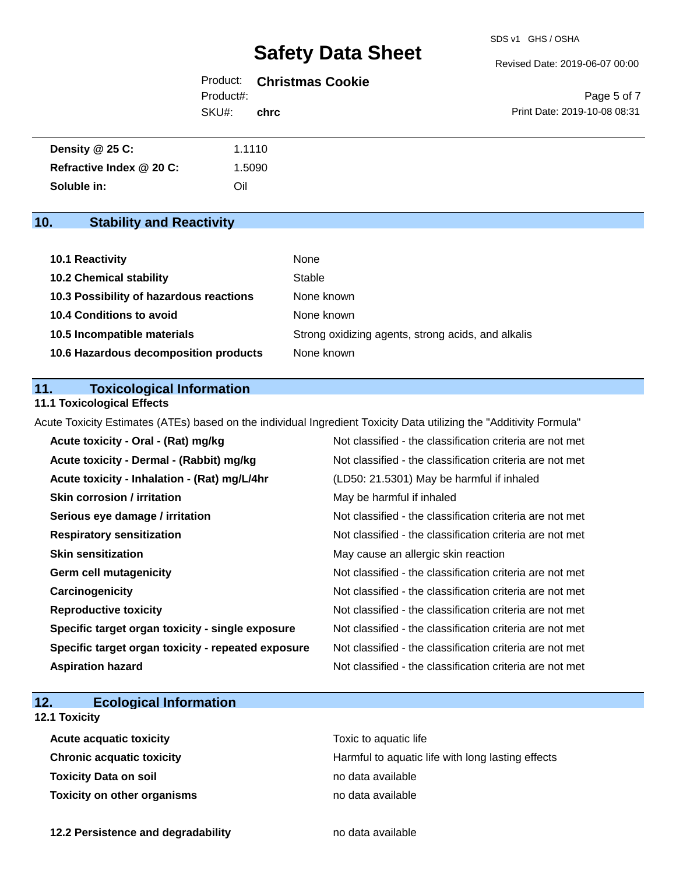#### Revised Date: 2019-06-07 00:00

# Product: **Christmas Cookie** Product#:

SKU#: **chrc**

Page 5 of 7 Print Date: 2019-10-08 08:31

| Density $@25C$ :         | 1.1110 |
|--------------------------|--------|
| Refractive Index @ 20 C: | '.5090 |
| Soluble in:              | Oil    |

# **10. Stability and Reactivity**

| 10.1 Reactivity                         | None                                               |
|-----------------------------------------|----------------------------------------------------|
| <b>10.2 Chemical stability</b>          | Stable                                             |
| 10.3 Possibility of hazardous reactions | None known                                         |
| <b>10.4 Conditions to avoid</b>         | None known                                         |
| 10.5 Incompatible materials             | Strong oxidizing agents, strong acids, and alkalis |
| 10.6 Hazardous decomposition products   | None known                                         |

### **11. Toxicological Information**

#### **11.1 Toxicological Effects**

Acute Toxicity Estimates (ATEs) based on the individual Ingredient Toxicity Data utilizing the "Additivity Formula"

| Acute toxicity - Oral - (Rat) mg/kg                | Not classified - the classification criteria are not met |
|----------------------------------------------------|----------------------------------------------------------|
| Acute toxicity - Dermal - (Rabbit) mg/kg           | Not classified - the classification criteria are not met |
| Acute toxicity - Inhalation - (Rat) mg/L/4hr       | (LD50: 21.5301) May be harmful if inhaled                |
| <b>Skin corrosion / irritation</b>                 | May be harmful if inhaled                                |
| Serious eye damage / irritation                    | Not classified - the classification criteria are not met |
| <b>Respiratory sensitization</b>                   | Not classified - the classification criteria are not met |
| <b>Skin sensitization</b>                          | May cause an allergic skin reaction                      |
| <b>Germ cell mutagenicity</b>                      | Not classified - the classification criteria are not met |
| Carcinogenicity                                    | Not classified - the classification criteria are not met |
| <b>Reproductive toxicity</b>                       | Not classified - the classification criteria are not met |
| Specific target organ toxicity - single exposure   | Not classified - the classification criteria are not met |
| Specific target organ toxicity - repeated exposure | Not classified - the classification criteria are not met |
| <b>Aspiration hazard</b>                           | Not classified - the classification criteria are not met |

# **12. Ecological Information**

### **12.1 Toxicity**

| <b>Acute acquatic toxicity</b>   | Toxic to aquatic life                             |
|----------------------------------|---------------------------------------------------|
| <b>Chronic acquatic toxicity</b> | Harmful to aquatic life with long lasting effects |
| Toxicity Data on soil            | no data available                                 |
| Toxicity on other organisms      | no data available                                 |

**12.2 Persistence and degradability no data available**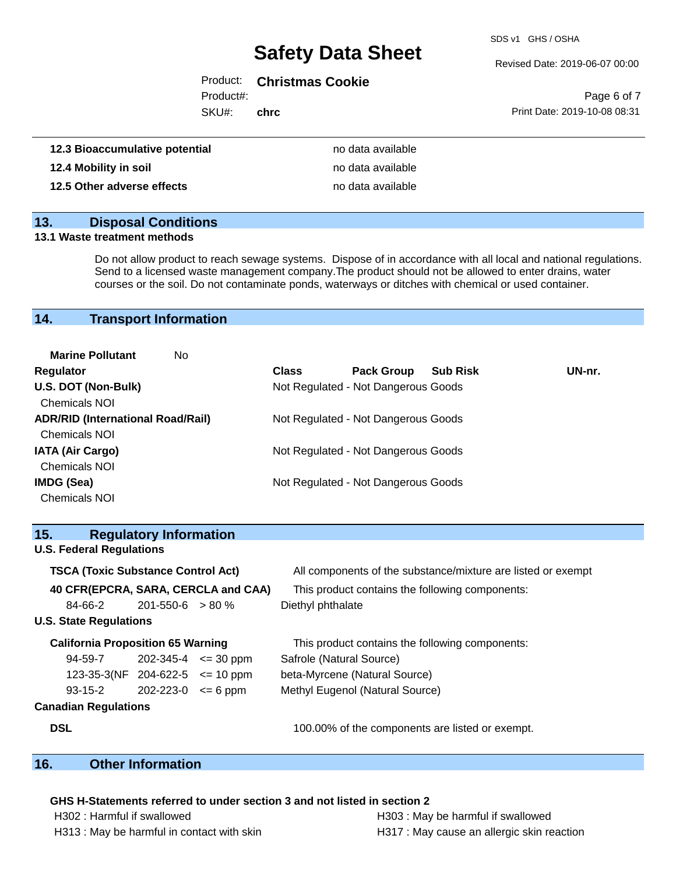SDS v1 GHS / OSHA

#### Revised Date: 2019-06-07 00:00

### Product: **Christmas Cookie**

Product#:

SKU#: **chrc**

|                              | Page 6 of 7 |  |
|------------------------------|-------------|--|
| Print Date: 2019-10-08 08:31 |             |  |

| 12.3 Bioaccumulative potential | no data available |
|--------------------------------|-------------------|
| 12.4 Mobility in soil          | no data available |
| 12.5 Other adverse effects     | no data available |

### **13. Disposal Conditions**

#### **13.1 Waste treatment methods**

Do not allow product to reach sewage systems. Dispose of in accordance with all local and national regulations. Send to a licensed waste management company.The product should not be allowed to enter drains, water courses or the soil. Do not contaminate ponds, waterways or ditches with chemical or used container.

### **14. Transport Information**

| <b>Marine Pollutant</b><br>No.           |              |                                     |                 |        |
|------------------------------------------|--------------|-------------------------------------|-----------------|--------|
| <b>Regulator</b>                         | <b>Class</b> | <b>Pack Group</b>                   | <b>Sub Risk</b> | UN-nr. |
| U.S. DOT (Non-Bulk)                      |              | Not Regulated - Not Dangerous Goods |                 |        |
| <b>Chemicals NOI</b>                     |              |                                     |                 |        |
| <b>ADR/RID (International Road/Rail)</b> |              | Not Regulated - Not Dangerous Goods |                 |        |
| <b>Chemicals NOI</b>                     |              |                                     |                 |        |
| <b>IATA (Air Cargo)</b>                  |              | Not Regulated - Not Dangerous Goods |                 |        |
| <b>Chemicals NOI</b>                     |              |                                     |                 |        |
| <b>IMDG (Sea)</b>                        |              | Not Regulated - Not Dangerous Goods |                 |        |
| <b>Chemicals NOI</b>                     |              |                                     |                 |        |

| 15.                                       | <b>Regulatory Information</b> |                             |                                                              |
|-------------------------------------------|-------------------------------|-----------------------------|--------------------------------------------------------------|
| <b>U.S. Federal Regulations</b>           |                               |                             |                                                              |
| <b>TSCA (Toxic Substance Control Act)</b> |                               |                             | All components of the substance/mixture are listed or exempt |
| 40 CFR(EPCRA, SARA, CERCLA and CAA)       |                               |                             | This product contains the following components:              |
| 84-66-2                                   | $201 - 550 - 6 > 80 \%$       |                             | Diethyl phthalate                                            |
| <b>U.S. State Regulations</b>             |                               |                             |                                                              |
| <b>California Proposition 65 Warning</b>  |                               |                             | This product contains the following components:              |
| 94-59-7                                   |                               | $202 - 345 - 4 \leq 30$ ppm | Safrole (Natural Source)                                     |
| 123-35-3(NF 204-622-5 $\le$ 10 ppm        |                               |                             | beta-Myrcene (Natural Source)                                |
| $93 - 15 - 2$                             | $202 - 223 - 0 \le 6$ ppm     |                             | Methyl Eugenol (Natural Source)                              |
| <b>Canadian Regulations</b>               |                               |                             |                                                              |
| <b>DSL</b>                                |                               |                             | 100.00% of the components are listed or exempt.              |

# **16. Other Information**

#### **GHS H-Statements referred to under section 3 and not listed in section 2**

| H302 : Harmful if swallowed               | H303 : May be harmful if swallowed         |
|-------------------------------------------|--------------------------------------------|
| H313: May be harmful in contact with skin | H317 : May cause an allergic skin reaction |